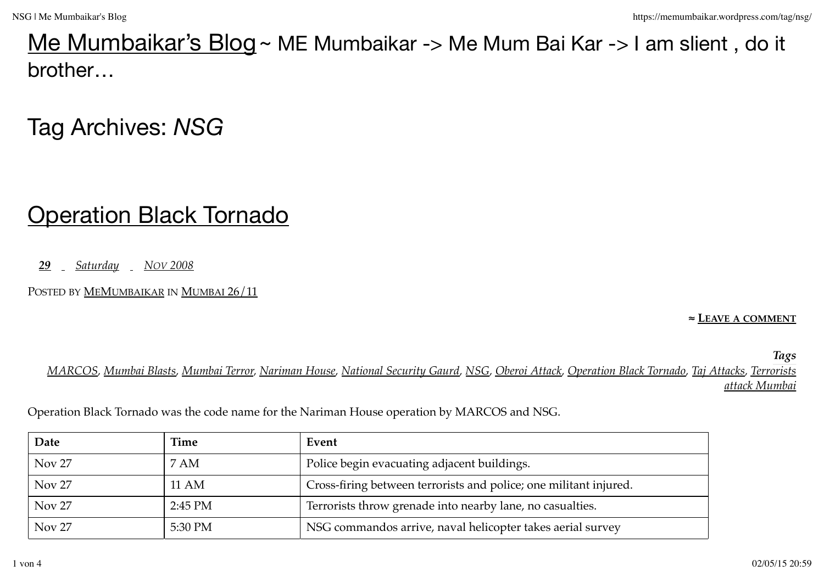#### Me Mumbaikar's Blog ~ ME Mumbaikar -> Me Mum Bai Kar -> I am slient, do it brother…

## Tag Archives: *NSG*

### **Operation Black Tornado**

*29 Saturday NOV 2008*

POSTED BY MEMUMBAIKAR IN MUMBAI 26/11

**≈ LEAVE A COMMENT**

*Tags*

*MARCOS, Mumbai Blasts, Mumbai Terror, Nariman House, National Security Gaurd, NSG, Oberoi Attack, Operation Black Tornado, Taj Attacks, Terrorists attack Mumbai*

| Date              | Time      | Event                                                             |
|-------------------|-----------|-------------------------------------------------------------------|
| Nov <sub>27</sub> | 7 AM      | Police begin evacuating adjacent buildings.                       |
| Nov <sub>27</sub> | 11 AM     | Cross-firing between terrorists and police; one militant injured. |
| Nov <sub>27</sub> | $2:45$ PM | Terrorists throw grenade into nearby lane, no casualties.         |
| Nov <sub>27</sub> | 5:30 PM   | NSG commandos arrive, naval helicopter takes aerial survey        |

Operation Black Tornado was the code name for the Nariman House operation by MARCOS and NSG.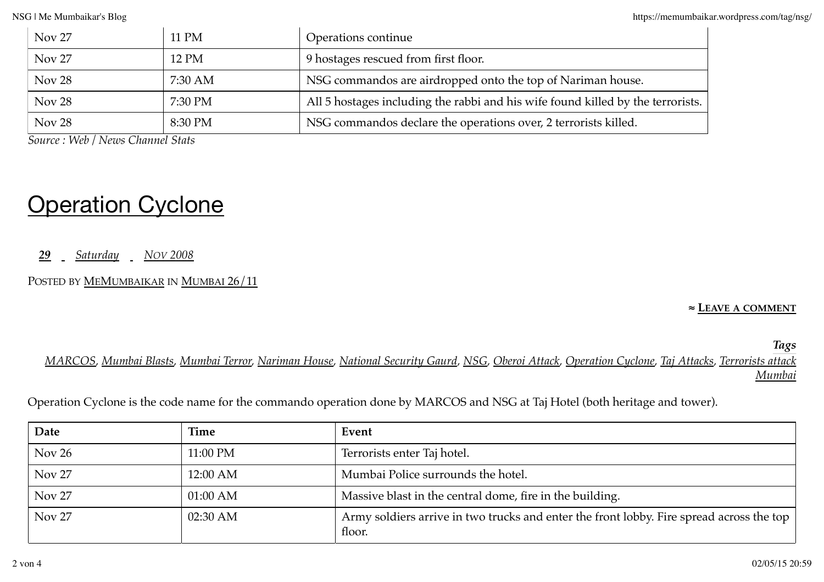| Nov <sub>27</sub> | 11 PM   | Operations continue                                                             |
|-------------------|---------|---------------------------------------------------------------------------------|
| Nov <sub>27</sub> | 12 PM   | 9 hostages rescued from first floor.                                            |
| Nov <sub>28</sub> | 7:30 AM | NSG commandos are airdropped onto the top of Nariman house.                     |
| Nov 28            | 7:30 PM | All 5 hostages including the rabbi and his wife found killed by the terrorists. |
| Nov <sub>28</sub> | 8:30 PM | NSG commandos declare the operations over, 2 terrorists killed.                 |

*Source : Web / News Channel Stats*

# **Operation Cyclone**

*29 Saturday NOV 2008*

POSTED BY **MEMUMBAIKAR IN MUMBAI 26/11** 

**≈ LEAVE A COMMENT**

*Tags*

*MARCOS, Mumbai Blasts, Mumbai Terror, Nariman House, National Security Gaurd, NSG, Oberoi Attack, Operation Cyclone, Taj Attacks, Terrorists attack Mumbai*

Operation Cyclone is the code name for the commando operation done by MARCOS and NSG at Taj Hotel (both heritage and tower).

| Date          | Time       | Event                                                                                              |
|---------------|------------|----------------------------------------------------------------------------------------------------|
| Nov 26        | 11:00 PM   | Terrorists enter Taj hotel.                                                                        |
| <b>Nov 27</b> | 12:00 AM   | Mumbai Police surrounds the hotel.                                                                 |
| <b>Nov 27</b> | $01:00$ AM | Massive blast in the central dome, fire in the building.                                           |
| <b>Nov 27</b> | 02:30 AM   | Army soldiers arrive in two trucks and enter the front lobby. Fire spread across the top<br>floor. |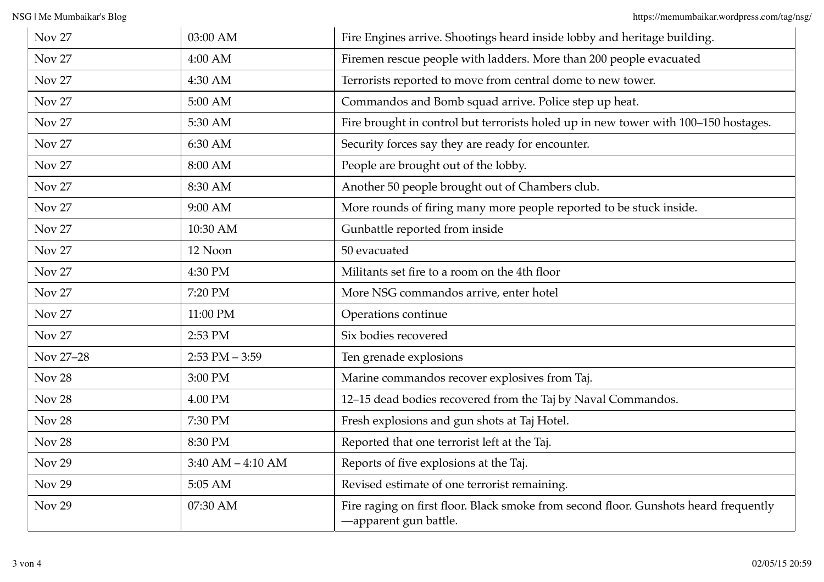| <b>Nov 27</b>     | 03:00 AM             | Fire Engines arrive. Shootings heard inside lobby and heritage building.                                      |
|-------------------|----------------------|---------------------------------------------------------------------------------------------------------------|
| <b>Nov 27</b>     | 4:00 AM              | Firemen rescue people with ladders. More than 200 people evacuated                                            |
| <b>Nov 27</b>     | 4:30 AM              | Terrorists reported to move from central dome to new tower.                                                   |
| <b>Nov 27</b>     | 5:00 AM              | Commandos and Bomb squad arrive. Police step up heat.                                                         |
| <b>Nov 27</b>     | 5:30 AM              | Fire brought in control but terrorists holed up in new tower with 100-150 hostages.                           |
| <b>Nov 27</b>     | 6:30 AM              | Security forces say they are ready for encounter.                                                             |
| <b>Nov 27</b>     | 8:00 AM              | People are brought out of the lobby.                                                                          |
| <b>Nov 27</b>     | 8:30 AM              | Another 50 people brought out of Chambers club.                                                               |
| Nov <sub>27</sub> | 9:00 AM              | More rounds of firing many more people reported to be stuck inside.                                           |
| <b>Nov 27</b>     | 10:30 AM             | Gunbattle reported from inside                                                                                |
| <b>Nov 27</b>     | 12 Noon              | 50 evacuated                                                                                                  |
| <b>Nov 27</b>     | 4:30 PM              | Militants set fire to a room on the 4th floor                                                                 |
| <b>Nov 27</b>     | 7:20 PM              | More NSG commandos arrive, enter hotel                                                                        |
| <b>Nov 27</b>     | 11:00 PM             | Operations continue                                                                                           |
| <b>Nov 27</b>     | 2:53 PM              | Six bodies recovered                                                                                          |
| Nov 27-28         | $2:53$ PM $-3:59$    | Ten grenade explosions                                                                                        |
| Nov 28            | 3:00 PM              | Marine commandos recover explosives from Taj.                                                                 |
| Nov <sub>28</sub> | 4.00 PM              | 12-15 dead bodies recovered from the Taj by Naval Commandos.                                                  |
| Nov 28            | 7:30 PM              | Fresh explosions and gun shots at Taj Hotel.                                                                  |
| Nov 28            | 8:30 PM              | Reported that one terrorist left at the Taj.                                                                  |
| <b>Nov 29</b>     | $3:40$ AM $-4:10$ AM | Reports of five explosions at the Taj.                                                                        |
| <b>Nov 29</b>     | 5:05 AM              | Revised estimate of one terrorist remaining.                                                                  |
| <b>Nov 29</b>     | 07:30 AM             | Fire raging on first floor. Black smoke from second floor. Gunshots heard frequently<br>-apparent gun battle. |